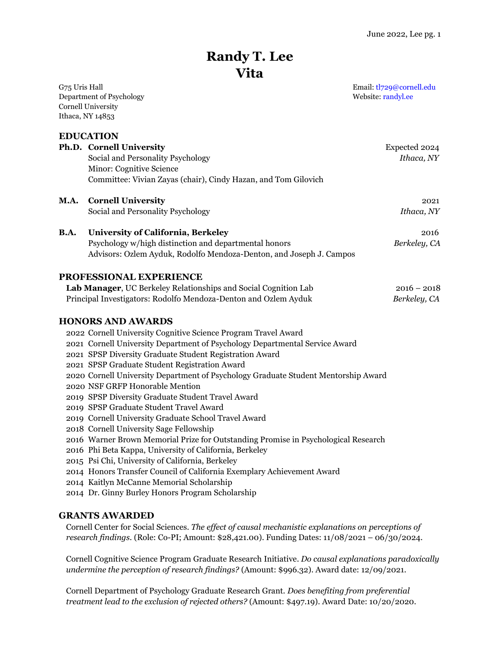# **Randy T. Lee Vita**

Department of Psychology Website: [randyl.ee](http://www.randyl.ee/) Cornell University Ithaca, NY 14853

**EDUCATION**

**Ph.D. Cornell University** Expected 2024 Social and Personality Psychology *Ithaca, NY* Minor: Cognitive Science Committee: Vivian Zayas (chair), Cindy Hazan, and Tom Gilovich

#### **M.A. Cornell University** 2021

Social and Personality Psychology *Ithaca, NY*

## **B.A.** University of California, Berkeley **2016** 2016

 Psychology w/high distinction and departmental honors *Berkeley, CA* Advisors: Ozlem Ayduk, Rodolfo Mendoza-Denton, and Joseph J. Campos

#### **PROFESSIONAL EXPERIENCE**

| Lab Manager, UC Berkeley Relationships and Social Cognition Lab | $2016 - 2018$ |
|-----------------------------------------------------------------|---------------|
| Principal Investigators: Rodolfo Mendoza-Denton and Ozlem Ayduk | Berkeley, CA  |

#### **HONORS AND AWARDS**

2022 Cornell University Cognitive Science Program Travel Award

- 2021 Cornell University Department of Psychology Departmental Service Award
- 2021 SPSP Diversity Graduate Student Registration Award
- 2021 SPSP Graduate Student Registration Award
- 2020 Cornell University Department of Psychology Graduate Student Mentorship Award
- 2020 NSF GRFP Honorable Mention
- 2019 SPSP Diversity Graduate Student Travel Award
- 2019 SPSP Graduate Student Travel Award
- 2019 Cornell University Graduate School Travel Award
- 2018 Cornell University Sage Fellowship
- 2016 Warner Brown Memorial Prize for Outstanding Promise in Psychological Research
- 2016 Phi Beta Kappa, University of California, Berkeley
- 2015 Psi Chi, University of California, Berkeley
- 2014 Honors Transfer Council of California Exemplary Achievement Award
- 2014 Kaitlyn McCanne Memorial Scholarship
- 2014 Dr. Ginny Burley Honors Program Scholarship

#### **GRANTS AWARDED**

Cornell Center for Social Sciences. *The effect of causal mechanistic explanations on perceptions of research findings.* (Role: Co-PI; Amount: \$28,421.00). Funding Dates: 11/08/2021 – 06/30/2024.

Cornell Cognitive Science Program Graduate Research Initiative. *Do causal explanations paradoxically undermine the perception of research findings?* (Amount: \$996.32). Award date: 12/09/2021.

Cornell Department of Psychology Graduate Research Grant. *Does benefiting from preferential treatment lead to the exclusion of rejected others?* (Amount: \$497.19). Award Date: 10/20/2020.

G75 Uris Hall **Email:** tl729@cornell.edu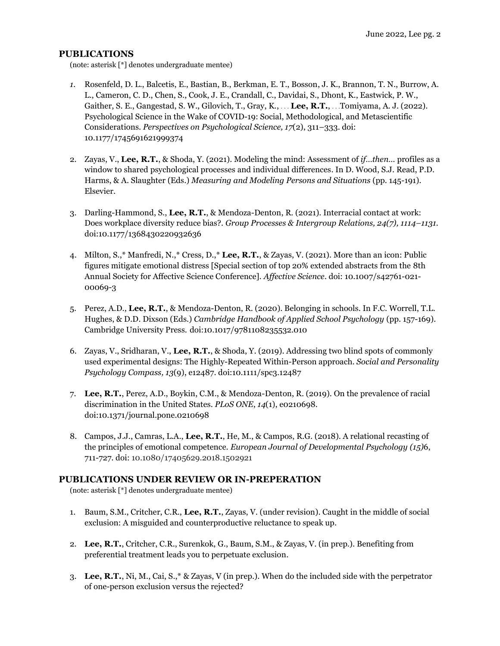### **PUBLICATIONS**

(note: asterisk [\*] denotes undergraduate mentee)

- *1.* Rosenfeld, D. L., Balcetis, E., Bastian, B., Berkman, E. T., Bosson, J. K., Brannon, T. N., Burrow, A. L., Cameron, C. D., Chen, S., Cook, J. E., Crandall, C., Davidai, S., Dhont, K., Eastwick, P. W., Gaither, S. E., Gangestad, S. W., Gilovich, T., Gray, K., . . . **Lee, R.T.**, . . .Tomiyama, A. J. (2022). Psychological Science in the Wake of COVID-19: Social, Methodological, and Metascientific Considerations. *Perspectives on Psychological Science, 17*(2), 311–333. doi: 10.1177/1745691621999374
- 2. Zayas, V., **Lee, R.T.**, & Shoda, Y. (2021). Modeling the mind: Assessment of *if…then…* profiles as a window to shared psychological processes and individual differences. In D. Wood, S.J. Read, P.D. Harms, & A. Slaughter (Eds.) *Measuring and Modeling Persons and Situations* (pp. 145-191)*.* Elsevier.
- 3. Darling-Hammond, S., **Lee, R.T.**, & Mendoza-Denton, R. (2021). Interracial contact at work: Does workplace diversity reduce bias?. *Group Processes & Intergroup Relations, 24(7), 1114–1131.* doi:10.1177/1368430220932636
- 4. Milton, S.,\* Manfredi, N.,\* Cress, D.,\* **Lee, R.T.**, & Zayas, V. (2021). More than an icon: Public figures mitigate emotional distress [Special section of top 20% extended abstracts from the 8th Annual Society for Affective Science Conference]. *Affective Science.* doi: 10.1007/s42761-021- 00069-3
- 5. Perez, A.D., **Lee, R.T.**, & Mendoza-Denton, R. (2020). Belonging in schools. In F.C. Worrell, T.L. Hughes, & D.D. Dixson (Eds.) *Cambridge Handbook of Applied School Psychology* (pp. 157-169)*.* Cambridge University Press. doi:10.1017/9781108235532.010
- 6. Zayas, V., Sridharan, V., **Lee, R.T.**, & Shoda, Y. (2019). Addressing two blind spots of commonly used experimental designs: The Highly-Repeated Within-Person approach. *Social and Personality Psychology Compass, 13*(9), e12487. doi:10.1111/spc3.12487
- 7. **Lee, R.T.**, Perez, A.D., Boykin, C.M., & Mendoza-Denton, R. (2019). On the prevalence of racial discrimination in the United States. *PLoS ONE*, *14*(1), e0210698. doi:10.1371/journal.pone.0210698
- 8. Campos, J.J., Camras, L.A., **Lee, R.T.**, He, M., & Campos, R.G. (2018). A relational recasting of the principles of emotional competence. *European Journal of Developmental Psychology (15)*6, 711-727*.* doi: 10.1080/17405629.2018.1502921

#### **PUBLICATIONS UNDER REVIEW OR IN-PREPERATION**

(note: asterisk [\*] denotes undergraduate mentee)

- 1. Baum, S.M., Critcher, C.R., **Lee, R.T.**, Zayas, V. (under revision). Caught in the middle of social exclusion: A misguided and counterproductive reluctance to speak up.
- 2. **Lee, R.T.**, Critcher, C.R., Surenkok, G., Baum, S.M., & Zayas, V. (in prep.). Benefiting from preferential treatment leads you to perpetuate exclusion.
- 3. **Lee, R.T.**, Ni, M., Cai, S.,\* & Zayas, V (in prep.). When do the included side with the perpetrator of one-person exclusion versus the rejected?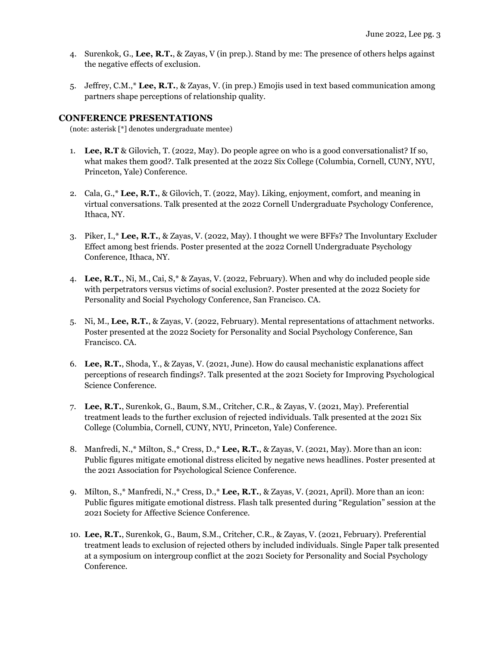- 4. Surenkok, G., **Lee, R.T.**, & Zayas, V (in prep.). Stand by me: The presence of others helps against the negative effects of exclusion.
- 5. Jeffrey, C.M.,\* **Lee, R.T.**, & Zayas, V. (in prep.) Emojis used in text based communication among partners shape perceptions of relationship quality.

#### **CONFERENCE PRESENTATIONS**

(note: asterisk [\*] denotes undergraduate mentee)

- 1. **Lee, R.T** & Gilovich, T. (2022, May). Do people agree on who is a good conversationalist? If so, what makes them good?. Talk presented at the 2022 Six College (Columbia, Cornell, CUNY, NYU, Princeton, Yale) Conference.
- 2. Cala, G.,\* **Lee, R.T.**, & Gilovich, T. (2022, May). Liking, enjoyment, comfort, and meaning in virtual conversations. Talk presented at the 2022 Cornell Undergraduate Psychology Conference, Ithaca, NY.
- 3. Piker, I.,\* **Lee, R.T.**, & Zayas, V. (2022, May). I thought we were BFFs? The Involuntary Excluder Effect among best friends. Poster presented at the 2022 Cornell Undergraduate Psychology Conference, Ithaca, NY.
- 4. **Lee, R.T.**, Ni, M., Cai, S,\* & Zayas, V. (2022, February). When and why do included people side with perpetrators versus victims of social exclusion?. Poster presented at the 2022 Society for Personality and Social Psychology Conference, San Francisco. CA.
- 5. Ni, M., **Lee, R.T.**, & Zayas, V. (2022, February). Mental representations of attachment networks. Poster presented at the 2022 Society for Personality and Social Psychology Conference, San Francisco. CA.
- 6. **Lee, R.T.**, Shoda, Y., & Zayas, V. (2021, June). How do causal mechanistic explanations affect perceptions of research findings?. Talk presented at the 2021 Society for Improving Psychological Science Conference.
- 7. **Lee, R.T.**, Surenkok, G., Baum, S.M., Critcher, C.R., & Zayas, V. (2021, May). Preferential treatment leads to the further exclusion of rejected individuals. Talk presented at the 2021 Six College (Columbia, Cornell, CUNY, NYU, Princeton, Yale) Conference.
- 8. Manfredi, N.,\* Milton, S.,\* Cress, D.,\* **Lee, R.T.**, & Zayas, V. (2021, May). More than an icon: Public figures mitigate emotional distress elicited by negative news headlines. Poster presented at the 2021 Association for Psychological Science Conference.
- 9. Milton, S.,\* Manfredi, N.,\* Cress, D.,\* **Lee, R.T.**, & Zayas, V. (2021, April). More than an icon: Public figures mitigate emotional distress. Flash talk presented during "Regulation" session at the 2021 Society for Affective Science Conference.
- 10. **Lee, R.T.**, Surenkok, G., Baum, S.M., Critcher, C.R., & Zayas, V. (2021, February). Preferential treatment leads to exclusion of rejected others by included individuals. Single Paper talk presented at a symposium on intergroup conflict at the 2021 Society for Personality and Social Psychology Conference.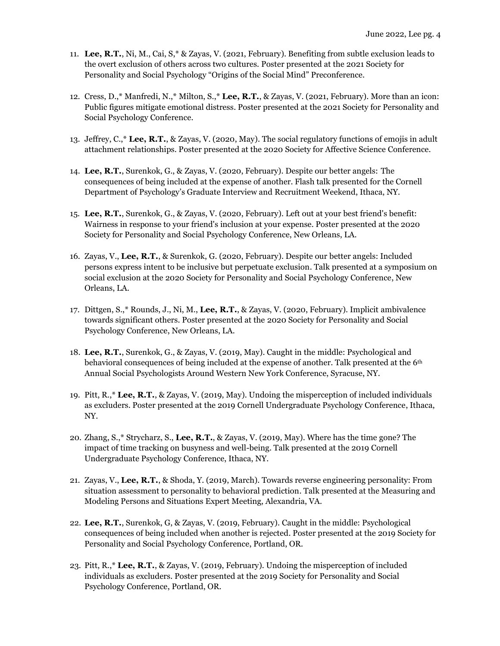- 11. **Lee, R.T.**, Ni, M., Cai, S,\* & Zayas, V. (2021, February). Benefiting from subtle exclusion leads to the overt exclusion of others across two cultures. Poster presented at the 2021 Society for Personality and Social Psychology "Origins of the Social Mind" Preconference.
- 12. Cress, D.,\* Manfredi, N.,\* Milton, S.,\* **Lee, R.T.**, & Zayas, V. (2021, February). More than an icon: Public figures mitigate emotional distress. Poster presented at the 2021 Society for Personality and Social Psychology Conference.
- 13. Jeffrey, C.,\* **Lee, R.T.**, & Zayas, V. (2020, May). The social regulatory functions of emojis in adult attachment relationships. Poster presented at the 2020 Society for Affective Science Conference.
- 14. **Lee, R.T.**, Surenkok, G., & Zayas, V. (2020, February). Despite our better angels: The consequences of being included at the expense of another. Flash talk presented for the Cornell Department of Psychology's Graduate Interview and Recruitment Weekend, Ithaca, NY.
- 15. **Lee, R.T.**, Surenkok, G., & Zayas, V. (2020, February). Left out at your best friend's benefit: Wairness in response to your friend's inclusion at your expense. Poster presented at the 2020 Society for Personality and Social Psychology Conference, New Orleans, LA.
- 16. Zayas, V., **Lee, R.T.**, & Surenkok, G. (2020, February). Despite our better angels: Included persons express intent to be inclusive but perpetuate exclusion. Talk presented at a symposium on social exclusion at the 2020 Society for Personality and Social Psychology Conference, New Orleans, LA.
- 17. Dittgen, S.,\* Rounds, J., Ni, M., **Lee, R.T.**, & Zayas, V. (2020, February). Implicit ambivalence towards significant others. Poster presented at the 2020 Society for Personality and Social Psychology Conference, New Orleans, LA.
- 18. **Lee, R.T.**, Surenkok, G., & Zayas, V. (2019, May). Caught in the middle: Psychological and behavioral consequences of being included at the expense of another. Talk presented at the 6th Annual Social Psychologists Around Western New York Conference, Syracuse, NY.
- 19. Pitt, R.,\* **Lee, R.T.**, & Zayas, V. (2019, May). Undoing the misperception of included individuals as excluders. Poster presented at the 2019 Cornell Undergraduate Psychology Conference, Ithaca, NY.
- 20. Zhang, S.,\* Strycharz, S., **Lee, R.T.**, & Zayas, V. (2019, May). Where has the time gone? The impact of time tracking on busyness and well-being. Talk presented at the 2019 Cornell Undergraduate Psychology Conference, Ithaca, NY.
- 21. Zayas, V., **Lee, R.T.**, & Shoda, Y. (2019, March). Towards reverse engineering personality: From situation assessment to personality to behavioral prediction. Talk presented at the Measuring and Modeling Persons and Situations Expert Meeting, Alexandria, VA.
- 22. **Lee, R.T.**, Surenkok, G, & Zayas, V. (2019, February). Caught in the middle: Psychological consequences of being included when another is rejected. Poster presented at the 2019 Society for Personality and Social Psychology Conference, Portland, OR.
- 23. Pitt, R.,\* **Lee, R.T.**, & Zayas, V. (2019, February). Undoing the misperception of included individuals as excluders. Poster presented at the 2019 Society for Personality and Social Psychology Conference, Portland, OR.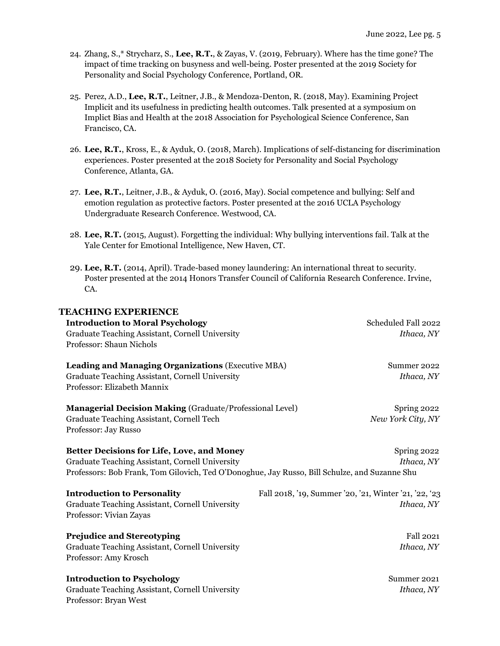- 24. Zhang, S.,\* Strycharz, S., **Lee, R.T.**, & Zayas, V. (2019, February). Where has the time gone? The impact of time tracking on busyness and well-being. Poster presented at the 2019 Society for Personality and Social Psychology Conference, Portland, OR.
- 25. Perez, A.D., **Lee, R.T.**, Leitner, J.B., & Mendoza-Denton, R. (2018, May). Examining Project Implicit and its usefulness in predicting health outcomes. Talk presented at a symposium on Implict Bias and Health at the 2018 Association for Psychological Science Conference, San Francisco, CA.
- 26. **Lee, R.T.**, Kross, E., & Ayduk, O. (2018, March). Implications of self-distancing for discrimination experiences. Poster presented at the 2018 Society for Personality and Social Psychology Conference, Atlanta, GA.
- 27. **Lee, R.T.**, Leitner, J.B., & Ayduk, O. (2016, May). Social competence and bullying: Self and emotion regulation as protective factors. Poster presented at the 2016 UCLA Psychology Undergraduate Research Conference. Westwood, CA.
- 28. **Lee, R.T.** (2015, August). Forgetting the individual: Why bullying interventions fail. Talk at the Yale Center for Emotional Intelligence, New Haven, CT.
- 29. **Lee, R.T.** (2014, April). Trade-based money laundering: An international threat to security. Poster presented at the 2014 Honors Transfer Council of California Research Conference. Irvine, CA.

| <b>TEACHING EXPERIENCE</b>                                                                    |                                                       |
|-----------------------------------------------------------------------------------------------|-------------------------------------------------------|
| <b>Introduction to Moral Psychology</b>                                                       | Scheduled Fall 2022                                   |
| Graduate Teaching Assistant, Cornell University                                               | Ithaca, NY                                            |
| Professor: Shaun Nichols                                                                      |                                                       |
| <b>Leading and Managing Organizations (Executive MBA)</b>                                     | Summer 2022                                           |
| Graduate Teaching Assistant, Cornell University                                               | Ithaca, NY                                            |
| Professor: Elizabeth Mannix                                                                   |                                                       |
| <b>Managerial Decision Making (Graduate/Professional Level)</b>                               | Spring 2022                                           |
| Graduate Teaching Assistant, Cornell Tech                                                     | New York City, NY                                     |
| Professor: Jay Russo                                                                          |                                                       |
| <b>Better Decisions for Life, Love, and Money</b>                                             | Spring 2022                                           |
| Graduate Teaching Assistant, Cornell University                                               | Ithaca, NY                                            |
| Professors: Bob Frank, Tom Gilovich, Ted O'Donoghue, Jay Russo, Bill Schulze, and Suzanne Shu |                                                       |
| <b>Introduction to Personality</b>                                                            | Fall 2018, '19, Summer '20, '21, Winter '21, '22, '23 |
| Graduate Teaching Assistant, Cornell University                                               | Ithaca, NY                                            |
| Professor: Vivian Zayas                                                                       |                                                       |
| <b>Prejudice and Stereotyping</b>                                                             | <b>Fall 2021</b>                                      |
| Graduate Teaching Assistant, Cornell University                                               | Ithaca, NY                                            |
| Professor: Amy Krosch                                                                         |                                                       |
| <b>Introduction to Psychology</b>                                                             | Summer 2021                                           |
| Graduate Teaching Assistant, Cornell University                                               | Ithaca, NY                                            |
| Professor: Bryan West                                                                         |                                                       |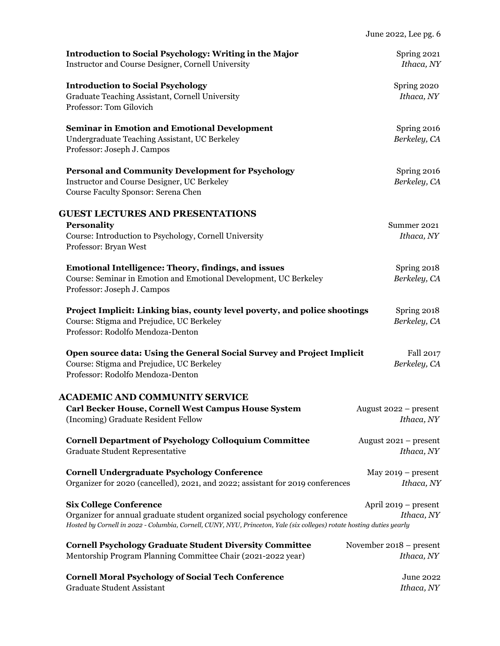| <b>Introduction to Social Psychology</b><br>Graduate Teaching Assistant, Cornell University<br>Professor: Tom Gilovich<br><b>Seminar in Emotion and Emotional Development</b><br>Undergraduate Teaching Assistant, UC Berkeley<br>Professor: Joseph J. Campos<br><b>Personal and Community Development for Psychology</b><br>Instructor and Course Designer, UC Berkeley<br>Course Faculty Sponsor: Serena Chen<br><b>Personality</b><br>Course: Introduction to Psychology, Cornell University<br>Professor: Bryan West<br><b>Emotional Intelligence: Theory, findings, and issues</b><br>Course: Seminar in Emotion and Emotional Development, UC Berkeley<br>Professor: Joseph J. Campos<br>Project Implicit: Linking bias, county level poverty, and police shootings<br>Course: Stigma and Prejudice, UC Berkeley<br>Professor: Rodolfo Mendoza-Denton<br>Open source data: Using the General Social Survey and Project Implicit<br>Course: Stigma and Prejudice, UC Berkeley<br>Professor: Rodolfo Mendoza-Denton<br>Carl Becker House, Cornell West Campus House System<br>(Incoming) Graduate Resident Fellow<br><b>Cornell Department of Psychology Colloquium Committee</b><br>Graduate Student Representative<br><b>Cornell Undergraduate Psychology Conference</b><br>Organizer for 2020 (cancelled), 2021, and 2022; assistant for 2019 conferences | Introduction to Social Psychology: Writing in the Major<br>Instructor and Course Designer, Cornell University | Spring 2021<br>Ithaca, NY             |
|------------------------------------------------------------------------------------------------------------------------------------------------------------------------------------------------------------------------------------------------------------------------------------------------------------------------------------------------------------------------------------------------------------------------------------------------------------------------------------------------------------------------------------------------------------------------------------------------------------------------------------------------------------------------------------------------------------------------------------------------------------------------------------------------------------------------------------------------------------------------------------------------------------------------------------------------------------------------------------------------------------------------------------------------------------------------------------------------------------------------------------------------------------------------------------------------------------------------------------------------------------------------------------------------------------------------------------------------------------------|---------------------------------------------------------------------------------------------------------------|---------------------------------------|
|                                                                                                                                                                                                                                                                                                                                                                                                                                                                                                                                                                                                                                                                                                                                                                                                                                                                                                                                                                                                                                                                                                                                                                                                                                                                                                                                                                  |                                                                                                               | Spring 2020<br>Ithaca, NY             |
| <b>GUEST LECTURES AND PRESENTATIONS</b><br><b>ACADEMIC AND COMMUNITY SERVICE</b>                                                                                                                                                                                                                                                                                                                                                                                                                                                                                                                                                                                                                                                                                                                                                                                                                                                                                                                                                                                                                                                                                                                                                                                                                                                                                 |                                                                                                               | Spring 2016<br>Berkeley, CA           |
|                                                                                                                                                                                                                                                                                                                                                                                                                                                                                                                                                                                                                                                                                                                                                                                                                                                                                                                                                                                                                                                                                                                                                                                                                                                                                                                                                                  |                                                                                                               | Spring 2016<br>Berkeley, CA           |
|                                                                                                                                                                                                                                                                                                                                                                                                                                                                                                                                                                                                                                                                                                                                                                                                                                                                                                                                                                                                                                                                                                                                                                                                                                                                                                                                                                  |                                                                                                               |                                       |
|                                                                                                                                                                                                                                                                                                                                                                                                                                                                                                                                                                                                                                                                                                                                                                                                                                                                                                                                                                                                                                                                                                                                                                                                                                                                                                                                                                  |                                                                                                               | Summer 2021<br>Ithaca, NY             |
|                                                                                                                                                                                                                                                                                                                                                                                                                                                                                                                                                                                                                                                                                                                                                                                                                                                                                                                                                                                                                                                                                                                                                                                                                                                                                                                                                                  |                                                                                                               | Spring 2018<br>Berkeley, CA           |
|                                                                                                                                                                                                                                                                                                                                                                                                                                                                                                                                                                                                                                                                                                                                                                                                                                                                                                                                                                                                                                                                                                                                                                                                                                                                                                                                                                  |                                                                                                               | Spring 2018<br>Berkeley, CA           |
|                                                                                                                                                                                                                                                                                                                                                                                                                                                                                                                                                                                                                                                                                                                                                                                                                                                                                                                                                                                                                                                                                                                                                                                                                                                                                                                                                                  |                                                                                                               | Fall 2017<br>Berkeley, CA             |
|                                                                                                                                                                                                                                                                                                                                                                                                                                                                                                                                                                                                                                                                                                                                                                                                                                                                                                                                                                                                                                                                                                                                                                                                                                                                                                                                                                  |                                                                                                               |                                       |
|                                                                                                                                                                                                                                                                                                                                                                                                                                                                                                                                                                                                                                                                                                                                                                                                                                                                                                                                                                                                                                                                                                                                                                                                                                                                                                                                                                  |                                                                                                               | August $2022$ – present<br>Ithaca, NY |
|                                                                                                                                                                                                                                                                                                                                                                                                                                                                                                                                                                                                                                                                                                                                                                                                                                                                                                                                                                                                                                                                                                                                                                                                                                                                                                                                                                  |                                                                                                               | August $2021$ – present<br>Ithaca, NY |
|                                                                                                                                                                                                                                                                                                                                                                                                                                                                                                                                                                                                                                                                                                                                                                                                                                                                                                                                                                                                                                                                                                                                                                                                                                                                                                                                                                  |                                                                                                               | May $2019$ – present<br>Ithaca, NY    |
| Organizer for annual graduate student organized social psychology conference<br>Hosted by Cornell in 2022 - Columbia, Cornell, CUNY, NYU, Princeton, Yale (six colleges) rotate hosting duties yearly                                                                                                                                                                                                                                                                                                                                                                                                                                                                                                                                                                                                                                                                                                                                                                                                                                                                                                                                                                                                                                                                                                                                                            | <b>Six College Conference</b>                                                                                 | April $2019$ – present<br>Ithaca, NY  |
| <b>Cornell Psychology Graduate Student Diversity Committee</b><br>November 2018 – present                                                                                                                                                                                                                                                                                                                                                                                                                                                                                                                                                                                                                                                                                                                                                                                                                                                                                                                                                                                                                                                                                                                                                                                                                                                                        |                                                                                                               |                                       |
| Mentorship Program Planning Committee Chair (2021-2022 year)<br><b>Cornell Moral Psychology of Social Tech Conference</b><br>Graduate Student Assistant                                                                                                                                                                                                                                                                                                                                                                                                                                                                                                                                                                                                                                                                                                                                                                                                                                                                                                                                                                                                                                                                                                                                                                                                          |                                                                                                               | Ithaca, NY<br>June 2022<br>Ithaca, NY |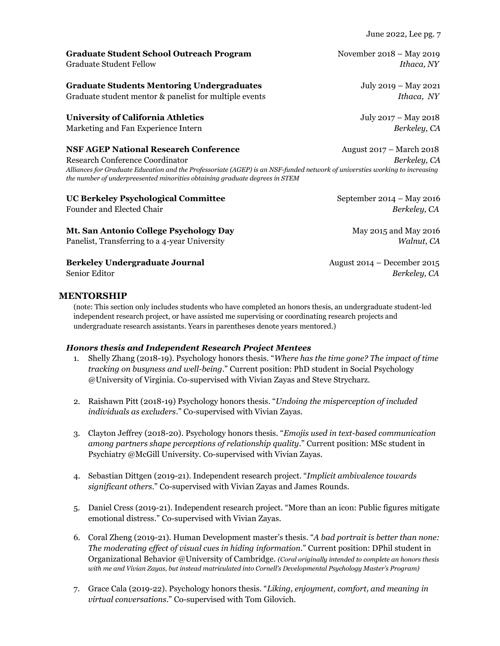June 2022, Lee pg. 7

**Graduate Student School Outreach Program Movember 2018 – May 2019** Graduate Student Fellow *Ithaca, NY*

**Graduate Students Mentoring Undergraduates** July 2019 – May 2021 Graduate student mentor & panelist for multiple events *Ithaca, NY*

## **University of California Athletics** July 2017 – May 2018

Marketing and Fan Experience Intern *Berkeley, CA*

#### **NSF AGEP National Research Conference** August 2017 – March 2018

Research Conference Coordinator*Berkeley, CA Alliances for Graduate Education and the Professoriate (AGEP) is an NSF-funded network of universties working to increasing the number of underpreesented minorities obtaining graduate degrees in STEM*

## **UC Berkeley Psychological Committee <b>September 2014 – May 2016**

**Mt. San Antonio College Psychology Day** May 2015 and May 2016 Panelist, Transferring to a 4-year University *Walnut, CA*

**Berkeley Undergraduate Journal August 2014 – December 2015** 

## **MENTORSHIP**

(note: This section only includes students who have completed an honors thesis, an undergraduate student-led independent research project, or have assisted me supervising or coordinating research projects and undergraduate research assistants. Years in parentheses denote years mentored.)

#### *Honors thesis and Independent Research Project Mentees*

- 1. Shelly Zhang (2018-19). Psychology honors thesis. "*Where has the time gone? The impact of time tracking on busyness and well-being*." Current position: PhD student in Social Psychology @University of Virginia. Co-supervised with Vivian Zayas and Steve Strycharz.
- 2. Raishawn Pitt (2018-19) Psychology honors thesis. "*Undoing the misperception of included individuals as excluders*." Co-supervised with Vivian Zayas.
- 3. Clayton Jeffrey (2018-20). Psychology honors thesis. "*Emojis used in text-based communication among partners shape perceptions of relationship quality*." Current position: MSc student in Psychiatry @McGill University. Co-supervised with Vivian Zayas.
- 4. Sebastian Dittgen (2019-21). Independent research project. "*Implicit ambivalence towards significant others*." Co-supervised with Vivian Zayas and James Rounds.
- 5. Daniel Cress (2019-21). Independent research project. "More than an icon: Public figures mitigate emotional distress." Co-supervised with Vivian Zayas.
- 6. Coral Zheng (2019-21). Human Development master's thesis. "*A bad portrait is better than none: The moderating effect of visual cues in hiding information*." Current position: DPhil student in Organizational Behavior @University of Cambridge. *(Coral originally intended to complete an honors thesis with me and Vivian Zayas, but instead matriculated into Cornell's Developmental Psychology Master's Program)*
- 7. Grace Cala (2019-22). Psychology honors thesis. "*Liking, enjoyment, comfort, and meaning in virtual conversations*." Co-supervised with Tom Gilovich.

Founder and Elected Chair *Berkeley, CA*

Senior Editor *Berkeley, CA*